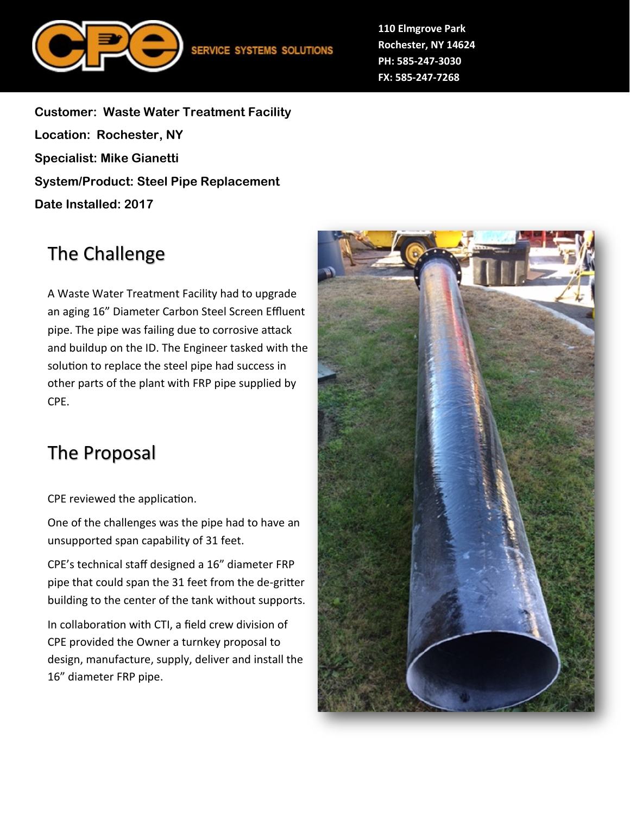

**110 Elmgrove Park Rochester, NY 14624 PH: 585-247-3030 FX: 585-247-7268**

**Customer: Waste Water Treatment Facility Location: Rochester, NY Specialist: Mike Gianetti System/Product: Steel Pipe Replacement Date Installed: 2017**

## The Challenge

A Waste Water Treatment Facility had to upgrade an aging 16" Diameter Carbon Steel Screen Effluent pipe. The pipe was failing due to corrosive attack and buildup on the ID. The Engineer tasked with the solution to replace the steel pipe had success in other parts of the plant with FRP pipe supplied by CPE.

## The Proposal

CPE reviewed the application.

One of the challenges was the pipe had to have an unsupported span capability of 31 feet.

CPE's technical staff designed a 16" diameter FRP pipe that could span the 31 feet from the de-gritter building to the center of the tank without supports.

In collaboration with CTI, a field crew division of CPE provided the Owner a turnkey proposal to design, manufacture, supply, deliver and install the 16" diameter FRP pipe.